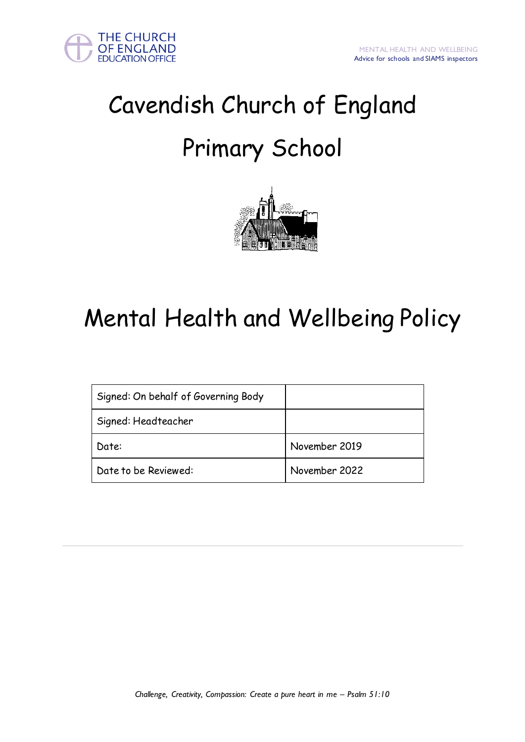



# Cavendish Church of England Primary School



# Mental Health and Wellbeing Policy

| Signed: On behalf of Governing Body |               |
|-------------------------------------|---------------|
| Signed: Headteacher                 |               |
| Date:                               | November 2019 |
| Date to be Reviewed:                | November 2022 |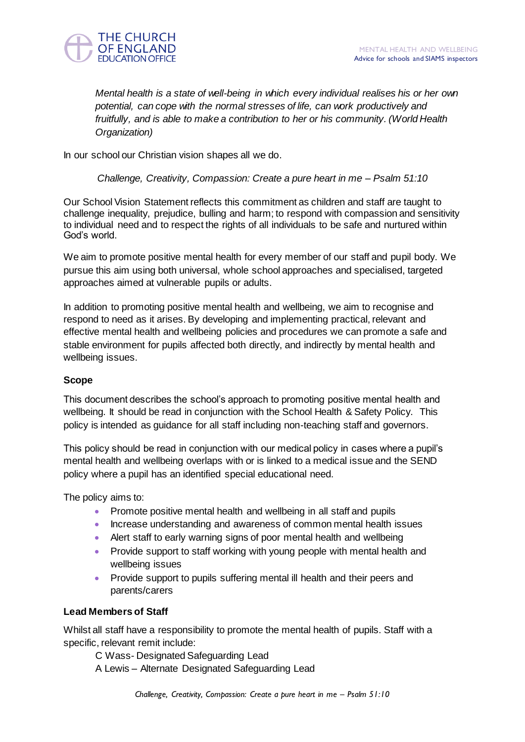

*Mental health is a state of well-being in which every individual realises his or her own potential, can cope with the normal stresses of life, can work productively and fruitfully, and is able to make a contribution to her or his community. (World Health Organization)* 

In our school our Christian vision shapes all we do.

*Challenge, Creativity, Compassion: Create a pure heart in me – Psalm 51:10*

Our School Vision Statement reflects this commitment as children and staff are taught to challenge inequality, prejudice, bulling and harm; to respond with compassion and sensitivity to individual need and to respect the rights of all individuals to be safe and nurtured within God"s world.

We aim to promote positive mental health for every member of our staff and pupil body. We pursue this aim using both universal, whole school approaches and specialised, targeted approaches aimed at vulnerable pupils or adults.

In addition to promoting positive mental health and wellbeing, we aim to recognise and respond to need as it arises. By developing and implementing practical, relevant and effective mental health and wellbeing policies and procedures we can promote a safe and stable environment for pupils affected both directly, and indirectly by mental health and wellbeing issues.

# **Scope**

This document describes the school"s approach to promoting positive mental health and wellbeing. It should be read in conjunction with the School Health & Safety Policy. This policy is intended as guidance for all staff including non-teaching staff and governors.

This policy should be read in conjunction with our medical policy in cases where a pupil"s mental health and wellbeing overlaps with or is linked to a medical issue and the SEND policy where a pupil has an identified special educational need.

The policy aims to:

- Promote positive mental health and wellbeing in all staff and pupils
- Increase understanding and awareness of common mental health issues
- Alert staff to early warning signs of poor mental health and wellbeing
- Provide support to staff working with young people with mental health and wellbeing issues
- Provide support to pupils suffering mental ill health and their peers and parents/carers

# **Lead Members of Staff**

Whilst all staff have a responsibility to promote the mental health of pupils. Staff with a specific, relevant remit include:

C Wass- Designated Safeguarding Lead A Lewis – Alternate Designated Safeguarding Lead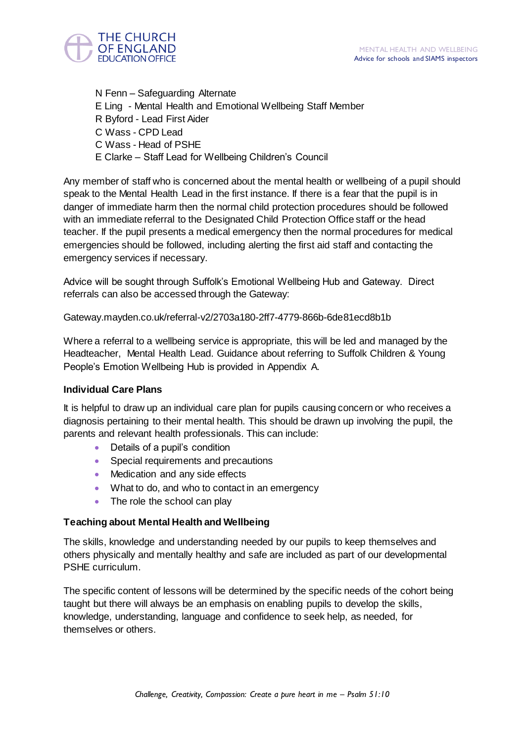

N Fenn – Safeguarding Alternate E Ling - Mental Health and Emotional Wellbeing Staff Member R Byford - Lead First Aider C Wass - CPD Lead C Wass - Head of PSHE E Clarke – Staff Lead for Wellbeing Children"s Council

Any member of staff who is concerned about the mental health or wellbeing of a pupil should speak to the Mental Health Lead in the first instance. If there is a fear that the pupil is in danger of immediate harm then the normal child protection procedures should be followed with an immediate referral to the Designated Child Protection Office staff or the head teacher. If the pupil presents a medical emergency then the normal procedures for medical emergencies should be followed, including alerting the first aid staff and contacting the emergency services if necessary.

Advice will be sought through Suffolk"s Emotional Wellbeing Hub and Gateway. Direct referrals can also be accessed through the Gateway:

Gateway.mayden.co.uk/referral-v2/2703a180-2ff7-4779-866b-6de81ecd8b1b

Where a referral to a wellbeing service is appropriate, this will be led and managed by the Headteacher, Mental Health Lead. Guidance about referring to Suffolk Children & Young People"s Emotion Wellbeing Hub is provided in Appendix A.

# **Individual Care Plans**

It is helpful to draw up an individual care plan for pupils causing concern or who receives a diagnosis pertaining to their mental health. This should be drawn up involving the pupil, the parents and relevant health professionals. This can include:

- Details of a pupil's condition
- Special requirements and precautions
- Medication and any side effects
- What to do, and who to contact in an emergency
- The role the school can play

# **Teaching about Mental Health and Wellbeing**

The skills, knowledge and understanding needed by our pupils to keep themselves and others physically and mentally healthy and safe are included as part of our developmental PSHE curriculum.

The specific content of lessons will be determined by the specific needs of the cohort being taught but there will always be an emphasis on enabling pupils to develop the skills, knowledge, understanding, language and confidence to seek help, as needed, for themselves or others.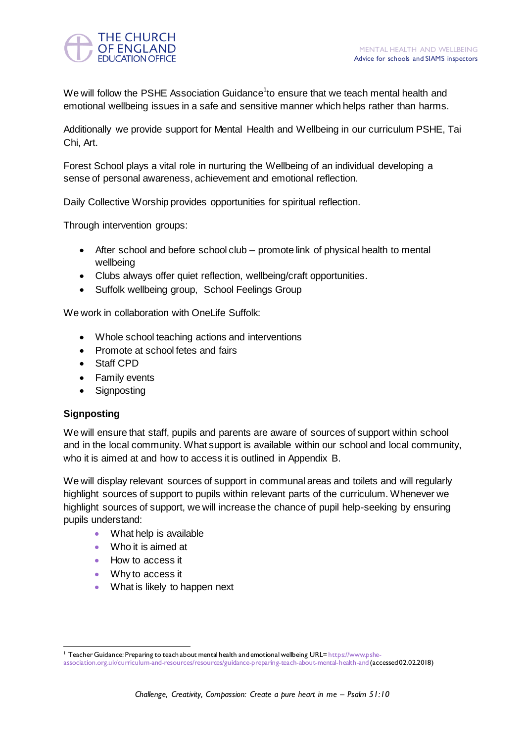

We will follow the PSHE Association Guidance<sup>1</sup>to ensure that we teach mental health and emotional wellbeing issues in a safe and sensitive manner which helps rather than harms.

Additionally we provide support for Mental Health and Wellbeing in our curriculum PSHE, Tai Chi, Art.

Forest School plays a vital role in nurturing the Wellbeing of an individual developing a sense of personal awareness, achievement and emotional reflection.

Daily Collective Worship provides opportunities for spiritual reflection.

Through intervention groups:

- After school and before school club promote link of physical health to mental wellbeing
- Clubs always offer quiet reflection, wellbeing/craft opportunities.
- Suffolk wellbeing group, School Feelings Group

We work in collaboration with OneLife Suffolk:

- Whole school teaching actions and interventions
- Promote at school fetes and fairs
- Staff CPD
- Family events
- Signposting

# **Signposting**

We will ensure that staff, pupils and parents are aware of sources of support within school and in the local community. What support is available within our school and local community, who it is aimed at and how to access it is outlined in Appendix B.

We will display relevant sources of support in communal areas and toilets and will regularly highlight sources of support to pupils within relevant parts of the curriculum. Whenever we highlight sources of support, we will increase the chance of pupil help-seeking by ensuring pupils understand:

- What help is available
- Who it is aimed at
- How to access it
- Why to access it
- What is likely to happen next

 <sup>1</sup> Teacher Guidance: Preparing to teach about mental health and emotional wellbeing URL= [https://www.pshe-](https://www.pshe-association.org.uk/curriculum-and-resources/resources/guidance-preparing-teach-about-mental-health-and)

[association.org.uk/curriculum-and-resources/resources/guidance-preparing-teach-about-mental-health-and](https://www.pshe-association.org.uk/curriculum-and-resources/resources/guidance-preparing-teach-about-mental-health-and)(accessed 02.02.2018)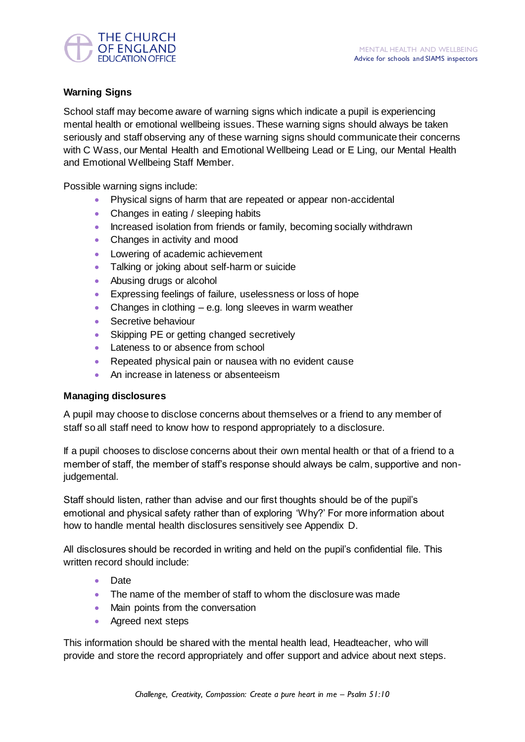

# **Warning Signs**

School staff may become aware of warning signs which indicate a pupil is experiencing mental health or emotional wellbeing issues. These warning signs should always be taken seriously and staff observing any of these warning signs should communicate their concerns with C Wass, our Mental Health and Emotional Wellbeing Lead or E Ling, our Mental Health and Emotional Wellbeing Staff Member.

Possible warning signs include:

- Physical signs of harm that are repeated or appear non-accidental
- Changes in eating / sleeping habits
- Increased isolation from friends or family, becoming socially withdrawn
- Changes in activity and mood
- **Lowering of academic achievement**
- Talking or joking about self-harm or suicide
- Abusing drugs or alcohol
- Expressing feelings of failure, uselessness or loss of hope
- Changes in clothing  $-$  e.g. long sleeves in warm weather
- Secretive behaviour
- Skipping PE or getting changed secretively
- Lateness to or absence from school
- Repeated physical pain or nausea with no evident cause
- An increase in lateness or absenteeism

# **Managing disclosures**

A pupil may choose to disclose concerns about themselves or a friend to any member of staff so all staff need to know how to respond appropriately to a disclosure.

If a pupil chooses to disclose concerns about their own mental health or that of a friend to a member of staff, the member of staff's response should always be calm, supportive and nonjudgemental.

Staff should listen, rather than advise and our first thoughts should be of the pupil"s emotional and physical safety rather than of exploring "Why?" For more information about how to handle mental health disclosures sensitively see Appendix D.

All disclosures should be recorded in writing and held on the pupil"s confidential file. This written record should include:

- Date
- The name of the member of staff to whom the disclosure was made
- Main points from the conversation
- Agreed next steps

This information should be shared with the mental health lead, Headteacher, who will provide and store the record appropriately and offer support and advice about next steps.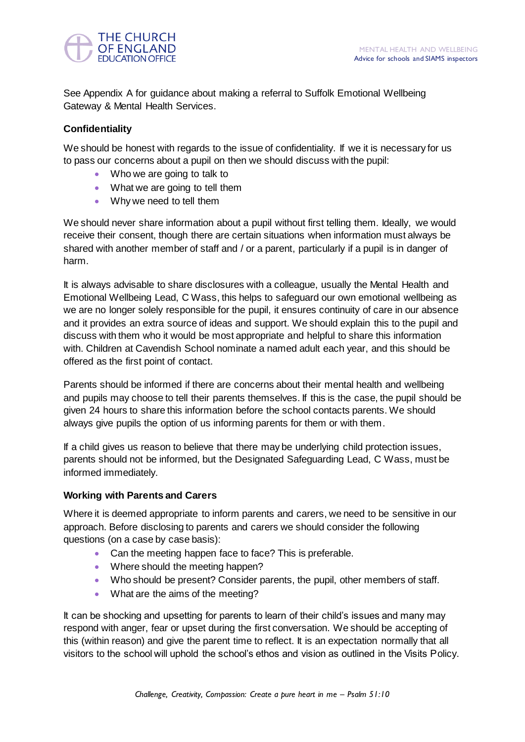

See Appendix A for guidance about making a referral to Suffolk Emotional Wellbeing Gateway & Mental Health Services.

# **Confidentiality**

We should be honest with regards to the issue of confidentiality. If we it is necessary for us to pass our concerns about a pupil on then we should discuss with the pupil:

- Who we are going to talk to
- What we are going to tell them
- Why we need to tell them

We should never share information about a pupil without first telling them. Ideally, we would receive their consent, though there are certain situations when information must always be shared with another member of staff and / or a parent, particularly if a pupil is in danger of harm.

It is always advisable to share disclosures with a colleague, usually the Mental Health and Emotional Wellbeing Lead, C Wass, this helps to safeguard our own emotional wellbeing as we are no longer solely responsible for the pupil, it ensures continuity of care in our absence and it provides an extra source of ideas and support. We should explain this to the pupil and discuss with them who it would be most appropriate and helpful to share this information with. Children at Cavendish School nominate a named adult each year, and this should be offered as the first point of contact.

Parents should be informed if there are concerns about their mental health and wellbeing and pupils may choose to tell their parents themselves. If this is the case, the pupil should be given 24 hours to share this information before the school contacts parents. We should always give pupils the option of us informing parents for them or with them.

If a child gives us reason to believe that there may be underlying child protection issues, parents should not be informed, but the Designated Safeguarding Lead, C Wass, must be informed immediately.

# **Working with Parents and Carers**

Where it is deemed appropriate to inform parents and carers, we need to be sensitive in our approach. Before disclosing to parents and carers we should consider the following questions (on a case by case basis):

- Can the meeting happen face to face? This is preferable.
- Where should the meeting happen?
- Who should be present? Consider parents, the pupil, other members of staff.
- What are the aims of the meeting?

It can be shocking and upsetting for parents to learn of their child"s issues and many may respond with anger, fear or upset during the first conversation. We should be accepting of this (within reason) and give the parent time to reflect. It is an expectation normally that all visitors to the school will uphold the school"s ethos and vision as outlined in the Visits Policy.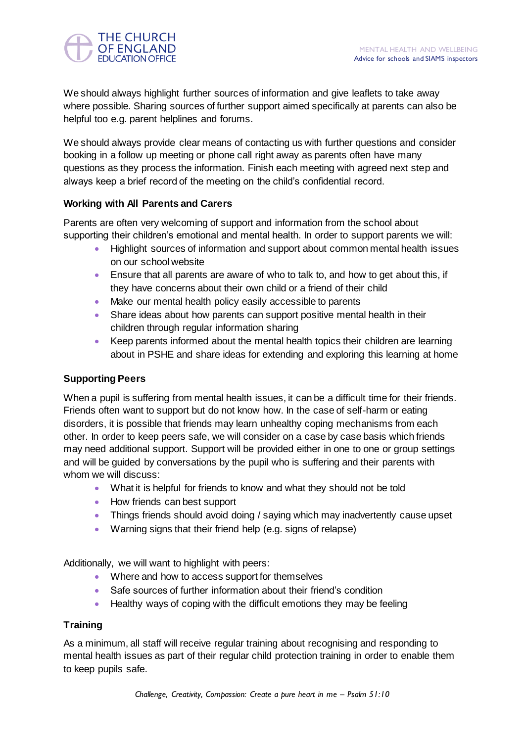

We should always highlight further sources of information and give leaflets to take away where possible. Sharing sources of further support aimed specifically at parents can also be helpful too e.g. parent helplines and forums.

We should always provide clear means of contacting us with further questions and consider booking in a follow up meeting or phone call right away as parents often have many questions as they process the information. Finish each meeting with agreed next step and always keep a brief record of the meeting on the child"s confidential record.

# **Working with All Parents and Carers**

Parents are often very welcoming of support and information from the school about supporting their children"s emotional and mental health. In order to support parents we will:

- Highlight sources of information and support about common mental health issues on our school website
- Ensure that all parents are aware of who to talk to, and how to get about this, if they have concerns about their own child or a friend of their child
- Make our mental health policy easily accessible to parents
- Share ideas about how parents can support positive mental health in their children through regular information sharing
- Keep parents informed about the mental health topics their children are learning about in PSHE and share ideas for extending and exploring this learning at home

# **Supporting Peers**

When a pupil is suffering from mental health issues, it can be a difficult time for their friends. Friends often want to support but do not know how. In the case of self-harm or eating disorders, it is possible that friends may learn unhealthy coping mechanisms from each other. In order to keep peers safe, we will consider on a case by case basis which friends may need additional support. Support will be provided either in one to one or group settings and will be guided by conversations by the pupil who is suffering and their parents with whom we will discuss:

- What it is helpful for friends to know and what they should not be told
- How friends can best support
- Things friends should avoid doing / saying which may inadvertently cause upset
- Warning signs that their friend help (e.g. signs of relapse)

Additionally, we will want to highlight with peers:

- Where and how to access support for themselves
- Safe sources of further information about their friend's condition
- Healthy ways of coping with the difficult emotions they may be feeling

# **Training**

As a minimum, all staff will receive regular training about recognising and responding to mental health issues as part of their regular child protection training in order to enable them to keep pupils safe.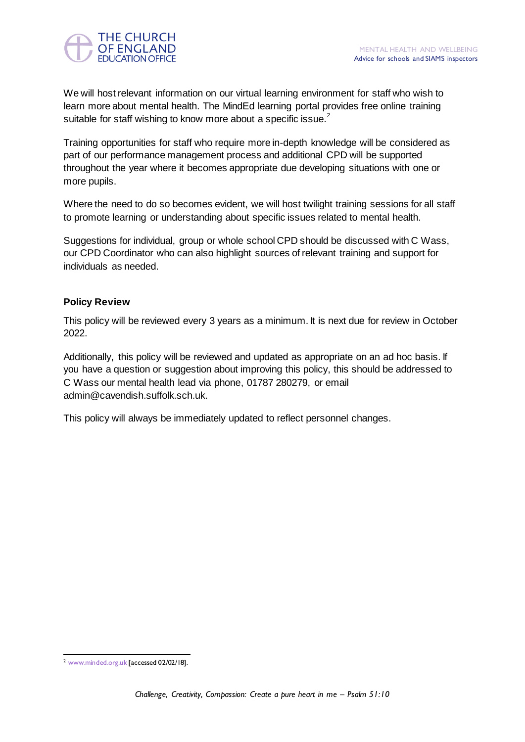

We will host relevant information on our virtual learning environment for staff who wish to learn more about mental health. The MindEd learning portal provides free online training suitable for staff wishing to know more about a specific issue.<sup>2</sup>

Training opportunities for staff who require more in-depth knowledge will be considered as part of our performance management process and additional CPD will be supported throughout the year where it becomes appropriate due developing situations with one or more pupils.

Where the need to do so becomes evident, we will host twilight training sessions for all staff to promote learning or understanding about specific issues related to mental health.

Suggestions for individual, group or whole school CPD should be discussed with C Wass, our CPD Coordinator who can also highlight sources of relevant training and support for individuals as needed.

# **Policy Review**

This policy will be reviewed every 3 years as a minimum. It is next due for review in October 2022.

Additionally, this policy will be reviewed and updated as appropriate on an ad hoc basis. If you have a question or suggestion about improving this policy, this should be addressed to C Wass our mental health lead via phone, 01787 280279, or email admin@cavendish.suffolk.sch.uk.

This policy will always be immediately updated to reflect personnel changes.

 <sup>2</sup> [www.minded.org.uk](http://www.minded.org.uk/) [accessed 02/02/18].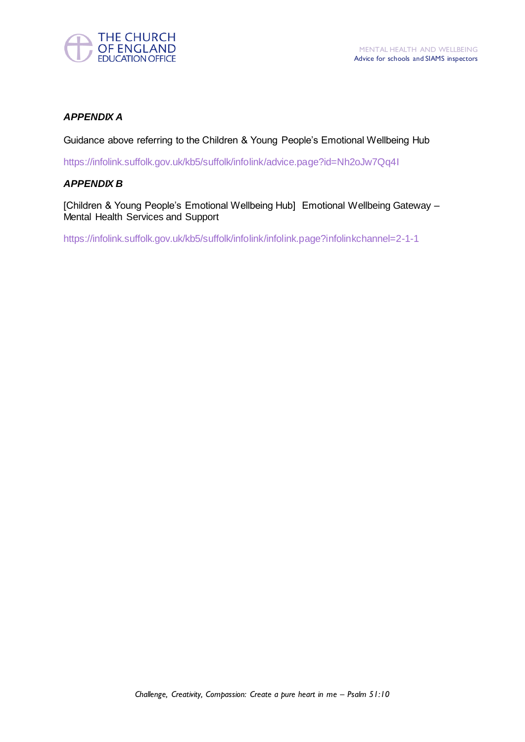

# *APPENDIX A*

Guidance above referring to the Children & Young People"s Emotional Wellbeing Hub

<https://infolink.suffolk.gov.uk/kb5/suffolk/infolink/advice.page?id=Nh2oJw7Qq4I>

# *APPENDIX B*

[Children & Young People"s Emotional Wellbeing Hub] Emotional Wellbeing Gateway – Mental Health Services and Support

<https://infolink.suffolk.gov.uk/kb5/suffolk/infolink/infolink.page?infolinkchannel=2-1-1>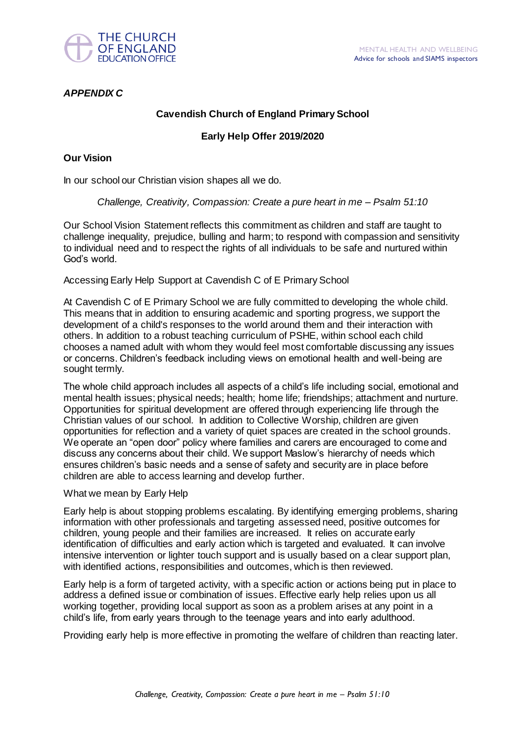

# *APPENDIX C*

# **Cavendish Church of England Primary School**

# **Early Help Offer 2019/2020**

# **Our Vision**

In our school our Christian vision shapes all we do.

# *Challenge, Creativity, Compassion: Create a pure heart in me – Psalm 51:10*

Our School Vision Statement reflects this commitment as children and staff are taught to challenge inequality, prejudice, bulling and harm; to respond with compassion and sensitivity to individual need and to respect the rights of all individuals to be safe and nurtured within God"s world.

Accessing Early Help Support at Cavendish C of E Primary School

At Cavendish C of E Primary School we are fully committed to developing the whole child. This means that in addition to ensuring academic and sporting progress, we support the development of a child's responses to the world around them and their interaction with others. In addition to a robust teaching curriculum of PSHE, within school each child chooses a named adult with whom they would feel most comfortable discussing any issues or concerns. Children"s feedback including views on emotional health and well-being are sought termly.

The whole child approach includes all aspects of a child"s life including social, emotional and mental health issues; physical needs; health; home life; friendships; attachment and nurture. Opportunities for spiritual development are offered through experiencing life through the Christian values of our school. In addition to Collective Worship, children are given opportunities for reflection and a variety of quiet spaces are created in the school grounds. We operate an "open door" policy where families and carers are encouraged to come and discuss any concerns about their child. We support Maslow"s hierarchy of needs which ensures children"s basic needs and a sense of safety and security are in place before children are able to access learning and develop further.

#### What we mean by Early Help

Early help is about stopping problems escalating. By identifying emerging problems, sharing information with other professionals and targeting assessed need, positive outcomes for children, young people and their families are increased. It relies on accurate early identification of difficulties and early action which is targeted and evaluated. It can involve intensive intervention or lighter touch support and is usually based on a clear support plan, with identified actions, responsibilities and outcomes, which is then reviewed.

Early help is a form of targeted activity, with a specific action or actions being put in place to address a defined issue or combination of issues. Effective early help relies upon us all working together, providing local support as soon as a problem arises at any point in a child"s life, from early years through to the teenage years and into early adulthood.

Providing early help is more effective in promoting the welfare of children than reacting later.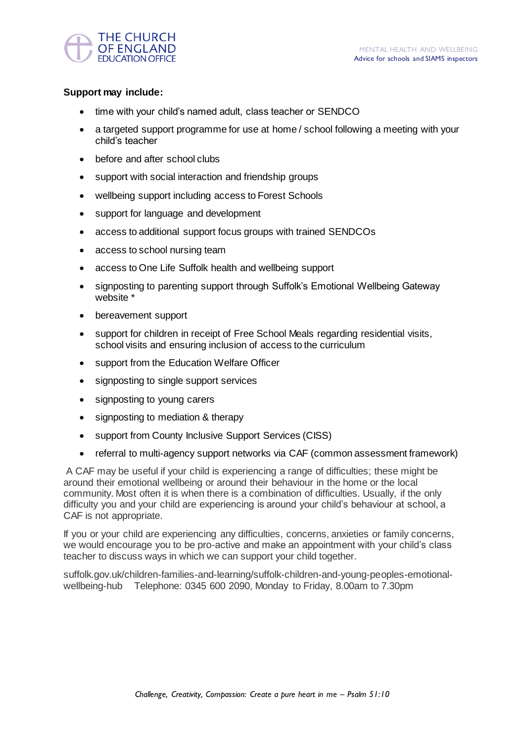

# **Support may include:**

- time with your child"s named adult, class teacher or SENDCO
- a targeted support programme for use at home / school following a meeting with your child"s teacher
- before and after school clubs
- support with social interaction and friendship groups
- wellbeing support including access to Forest Schools
- support for language and development
- access to additional support focus groups with trained SENDCOs
- access to school nursing team
- access to One Life Suffolk health and wellbeing support
- signposting to parenting support through Suffolk"s Emotional Wellbeing Gateway website \*
- bereavement support
- support for children in receipt of Free School Meals regarding residential visits, school visits and ensuring inclusion of access to the curriculum
- support from the Education Welfare Officer
- signposting to single support services
- signposting to young carers
- signposting to mediation & therapy
- support from County Inclusive Support Services (CISS)
- referral to multi-agency support networks via CAF (common assessment framework)

A CAF may be useful if your child is experiencing a range of difficulties; these might be around their emotional wellbeing or around their behaviour in the home or the local community. Most often it is when there is a combination of difficulties. Usually, if the only difficulty you and your child are experiencing is around your child"s behaviour at school, a CAF is not appropriate.

If you or your child are experiencing any difficulties, concerns, anxieties or family concerns, we would encourage you to be pro-active and make an appointment with your child's class teacher to discuss ways in which we can support your child together.

suffolk.gov.uk/children-families-and-learning/suffolk-children-and-young-peoples-emotionalwellbeing-hub Telephone: 0345 600 2090, Monday to Friday, 8.00am to 7.30pm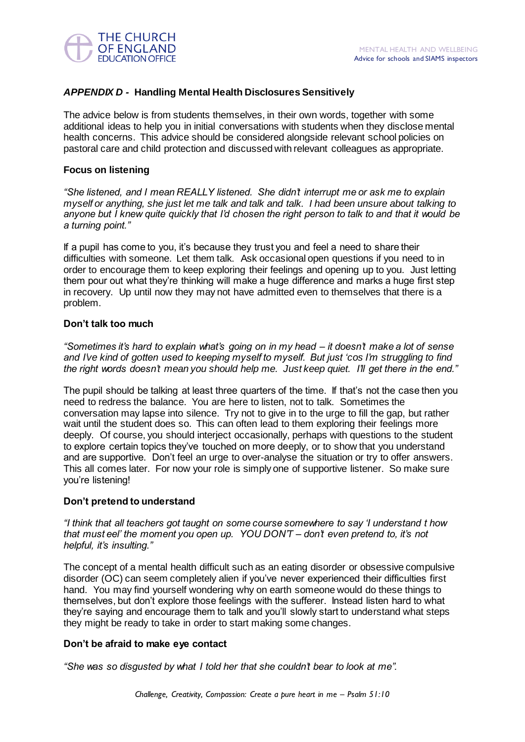

# *APPENDIX D -* **Handling Mental Health Disclosures Sensitively**

The advice below is from students themselves, in their own words, together with some additional ideas to help you in initial conversations with students when they disclose mental health concerns. This advice should be considered alongside relevant school policies on pastoral care and child protection and discussed with relevant colleagues as appropriate.

# **Focus on listening**

*"She listened, and I mean REALLY listened. She didn"t interrupt me or ask me to explain myself or anything, she just let me talk and talk and talk. I had been unsure about talking to anyone but I knew quite quickly that I"d chosen the right person to talk to and that it would be a turning point."*

If a pupil has come to you, it"s because they trust you and feel a need to share their difficulties with someone. Let them talk. Ask occasional open questions if you need to in order to encourage them to keep exploring their feelings and opening up to you. Just letting them pour out what they"re thinking will make a huge difference and marks a huge first step in recovery. Up until now they may not have admitted even to themselves that there is a problem.

# **Don't talk too much**

*"Sometimes it"s hard to explain what"s going on in my head – it doesn"t make a lot of sense and I"ve kind of gotten used to keeping myself to myself. But just "cos I"m struggling to find the right words doesn"t mean you should help me. Just keep quiet. I"ll get there in the end."*

The pupil should be talking at least three quarters of the time. If that"s not the case then you need to redress the balance. You are here to listen, not to talk. Sometimes the conversation may lapse into silence. Try not to give in to the urge to fill the gap, but rather wait until the student does so. This can often lead to them exploring their feelings more deeply. Of course, you should interject occasionally, perhaps with questions to the student to explore certain topics they"ve touched on more deeply, or to show that you understand and are supportive. Don't feel an urge to over-analyse the situation or try to offer answers. This all comes later. For now your role is simply one of supportive listener. So make sure you"re listening!

# **Don't pretend to understand**

*"I think that all teachers got taught on some course somewhere to say "I understand t how that must eel" the moment you open up. YOU DON"T – don"t even pretend to, it"s not helpful, it"s insulting."*

The concept of a mental health difficult such as an eating disorder or obsessive compulsive disorder (OC) can seem completely alien if you"ve never experienced their difficulties first hand. You may find yourself wondering why on earth someone would do these things to themselves, but don"t explore those feelings with the sufferer. Instead listen hard to what they"re saying and encourage them to talk and you"ll slowly start to understand what steps they might be ready to take in order to start making some changes.

#### **Don't be afraid to make eye contact**

*"She was so disgusted by what I told her that she couldn"t bear to look at me".*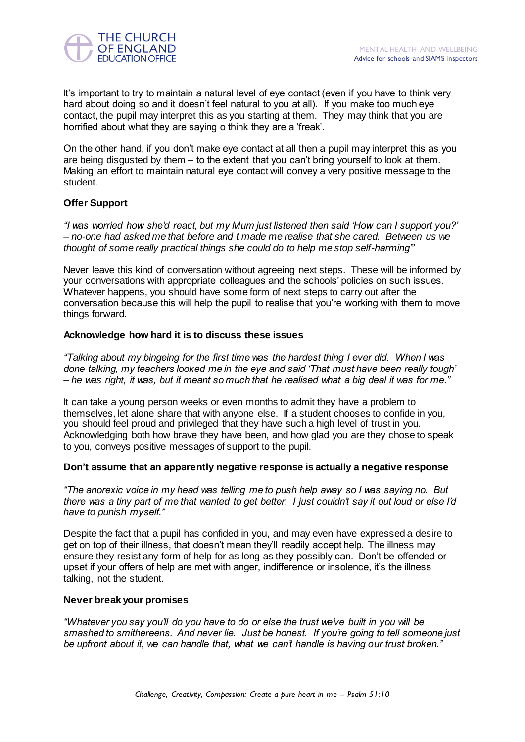

It's important to try to maintain a natural level of eye contact (even if you have to think very hard about doing so and it doesn't feel natural to you at all). If you make too much eye contact, the pupil may interpret this as you starting at them. They may think that you are horrified about what they are saying o think they are a 'freak'.

On the other hand, if you don"t make eye contact at all then a pupil may interpret this as you are being disgusted by them – to the extent that you can"t bring yourself to look at them. Making an effort to maintain natural eye contact will convey a very positive message to the student.

# **Offer Support**

*"I was worried how she"d react, but my Mum just listened then said "How can I support you?" – no-one had asked me that before and t made me realise that she cared. Between us we thought of some really practical things she could do to help me stop self-harming""*

Never leave this kind of conversation without agreeing next steps. These will be informed by your conversations with appropriate colleagues and the schools" policies on such issues. Whatever happens, you should have some form of next steps to carry out after the conversation because this will help the pupil to realise that you"re working with them to move things forward.

# **Acknowledge how hard it is to discuss these issues**

*"Talking about my bingeing for the first time was the hardest thing I ever did. When I was done talking, my teachers looked me in the eye and said "That must have been really tough" – he was right, it was, but it meant so much that he realised what a big deal it was for me."*

It can take a young person weeks or even months to admit they have a problem to themselves, let alone share that with anyone else. If a student chooses to confide in you, you should feel proud and privileged that they have such a high level of trust in you. Acknowledging both how brave they have been, and how glad you are they chose to speak to you, conveys positive messages of support to the pupil.

#### **Don't assume that an apparently negative response is actually a negative response**

*"The anorexic voice in my head was telling me to push help away so I was saying no. But there was a tiny part of me that wanted to get better. I just couldn"t say it out loud or else I"d have to punish myself."*

Despite the fact that a pupil has confided in you, and may even have expressed a desire to get on top of their illness, that doesn't mean they'll readily accept help. The illness may ensure they resist any form of help for as long as they possibly can. Don"t be offended or upset if your offers of help are met with anger, indifference or insolence, it"s the illness talking, not the student.

#### **Never break your promises**

*"Whatever you say you"ll do you have to do or else the trust we"ve built in you will be smashed to smithereens. And never lie. Just be honest. If you"re going to tell someone just be upfront about it, we can handle that, what we can"t handle is having our trust broken."*